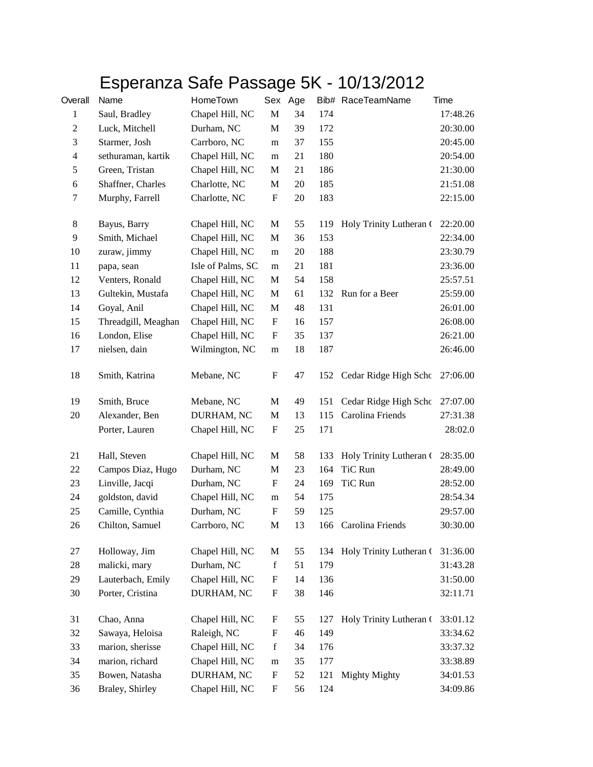## Esperanza Safe Passage 5K - 10/13/2012

| Overall          | Name                | HomeTown          |                           | Sex Age |     | Bib# RaceTeamName           | Time     |
|------------------|---------------------|-------------------|---------------------------|---------|-----|-----------------------------|----------|
| $\mathbf{1}$     | Saul, Bradley       | Chapel Hill, NC   | $\mathbf M$               | 34      | 174 |                             | 17:48.26 |
| $\boldsymbol{2}$ | Luck, Mitchell      | Durham, NC        | M                         | 39      | 172 |                             | 20:30.00 |
| 3                | Starmer, Josh       | Carrboro, NC      | m                         | 37      | 155 |                             | 20:45.00 |
| $\overline{4}$   | sethuraman, kartik  | Chapel Hill, NC   | m                         | 21      | 180 |                             | 20:54.00 |
| $\sqrt{5}$       | Green, Tristan      | Chapel Hill, NC   | M                         | 21      | 186 |                             | 21:30.00 |
| $\boldsymbol{6}$ | Shaffner, Charles   | Charlotte, NC     | M                         | 20      | 185 |                             | 21:51.08 |
| $\tau$           | Murphy, Farrell     | Charlotte, NC     | ${\bf F}$                 | 20      | 183 |                             | 22:15.00 |
| $\,8\,$          | Bayus, Barry        | Chapel Hill, NC   | M                         | 55      | 119 | Holy Trinity Lutheran (     | 22:20.00 |
| $\mathbf{9}$     | Smith, Michael      | Chapel Hill, NC   | M                         | 36      | 153 |                             | 22:34.00 |
| 10               | zuraw, jimmy        | Chapel Hill, NC   | m                         | 20      | 188 |                             | 23:30.79 |
| 11               | papa, sean          | Isle of Palms, SC | m                         | 21      | 181 |                             | 23:36.00 |
| 12               | Venters, Ronald     | Chapel Hill, NC   | M                         | 54      | 158 |                             | 25:57.51 |
| 13               | Gultekin, Mustafa   | Chapel Hill, NC   | M                         | 61      | 132 | Run for a Beer              | 25:59.00 |
| 14               | Goyal, Anil         | Chapel Hill, NC   | M                         | 48      | 131 |                             | 26:01.00 |
| 15               | Threadgill, Meaghan | Chapel Hill, NC   | $\boldsymbol{\mathrm{F}}$ | 16      | 157 |                             | 26:08.00 |
| 16               | London, Elise       | Chapel Hill, NC   | F                         | 35      | 137 |                             | 26:21.00 |
| 17               | nielsen, dain       | Wilmington, NC    | m                         | 18      | 187 |                             | 26:46.00 |
| 18               | Smith, Katrina      | Mebane, NC        | $\boldsymbol{F}$          | 47      | 152 | Cedar Ridge High Schc       | 27:06.00 |
| 19               | Smith, Bruce        | Mebane, NC        | M                         | 49      | 151 | Cedar Ridge High Schc       | 27:07.00 |
| 20               | Alexander, Ben      | DURHAM, NC        | M                         | 13      | 115 | Carolina Friends            | 27:31.38 |
|                  | Porter, Lauren      | Chapel Hill, NC   | $\boldsymbol{\mathrm{F}}$ | 25      | 171 |                             | 28:02.0  |
| 21               | Hall, Steven        | Chapel Hill, NC   | M                         | 58      | 133 | Holy Trinity Lutheran (     | 28:35.00 |
| 22               | Campos Diaz, Hugo   | Durham, NC        | $\mathbf M$               | 23      | 164 | TiC Run                     | 28:49.00 |
| 23               | Linville, Jacqi     | Durham, NC        | $\boldsymbol{F}$          | 24      | 169 | TiC Run                     | 28:52.00 |
| 24               | goldston, david     | Chapel Hill, NC   | m                         | 54      | 175 |                             | 28:54.34 |
| 25               | Camille, Cynthia    | Durham, NC        | $\mathbf{F}$              | 59      | 125 |                             | 29:57.00 |
| 26               | Chilton, Samuel     | Carrboro, NC      | М                         | 13      | 166 | Carolina Friends            | 30:30.00 |
| 27               | Holloway, Jim       | Chapel Hill, NC   | M                         | 55      |     | 134 Holy Trinity Lutheran ( | 31:36.00 |
| $28\,$           | malicki, mary       | Durham, NC        | $\mathbf f$               | 51      | 179 |                             | 31:43.28 |
| 29               | Lauterbach, Emily   | Chapel Hill, NC   | $\boldsymbol{\mathrm{F}}$ | 14      | 136 |                             | 31:50.00 |
| 30               | Porter, Cristina    | DURHAM, NC        | $\boldsymbol{\mathrm{F}}$ | 38      | 146 |                             | 32:11.71 |
| 31               | Chao, Anna          | Chapel Hill, NC   | F                         | 55      | 127 | Holy Trinity Lutheran (     | 33:01.12 |
| 32               | Sawaya, Heloisa     | Raleigh, NC       | $\boldsymbol{\mathrm{F}}$ | 46      | 149 |                             | 33:34.62 |
| 33               | marion, sherisse    | Chapel Hill, NC   | $\mathbf f$               | 34      | 176 |                             | 33:37.32 |
| 34               | marion, richard     | Chapel Hill, NC   | m                         | 35      | 177 |                             | 33:38.89 |
| 35               | Bowen, Natasha      | DURHAM, NC        | F                         | 52      | 121 | <b>Mighty Mighty</b>        | 34:01.53 |
| 36               | Braley, Shirley     | Chapel Hill, NC   | F                         | 56      | 124 |                             | 34:09.86 |